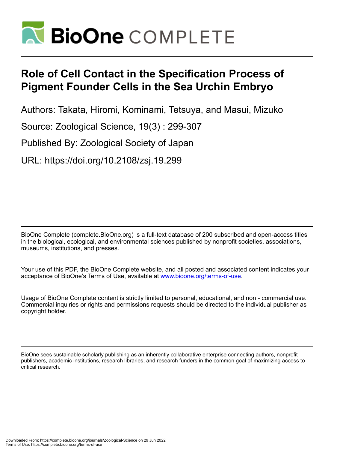

# **Role of Cell Contact in the Specification Process of Pigment Founder Cells in the Sea Urchin Embryo**

Authors: Takata, Hiromi, Kominami, Tetsuya, and Masui, Mizuko

Source: Zoological Science, 19(3) : 299-307

Published By: Zoological Society of Japan

URL: https://doi.org/10.2108/zsj.19.299

BioOne Complete (complete.BioOne.org) is a full-text database of 200 subscribed and open-access titles in the biological, ecological, and environmental sciences published by nonprofit societies, associations, museums, institutions, and presses.

Your use of this PDF, the BioOne Complete website, and all posted and associated content indicates your acceptance of BioOne's Terms of Use, available at www.bioone.org/terms-of-use.

Usage of BioOne Complete content is strictly limited to personal, educational, and non - commercial use. Commercial inquiries or rights and permissions requests should be directed to the individual publisher as copyright holder.

BioOne sees sustainable scholarly publishing as an inherently collaborative enterprise connecting authors, nonprofit publishers, academic institutions, research libraries, and research funders in the common goal of maximizing access to critical research.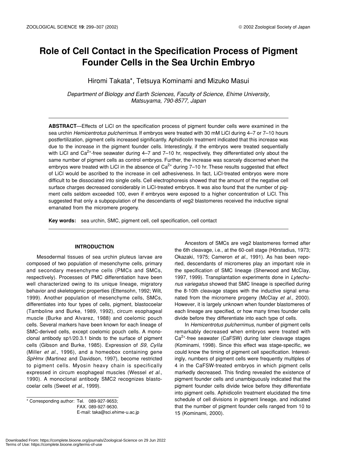# **Role of Cell Contact in the Specification Process of Pigment Founder Cells in the Sea Urchin Embryo**

Hiromi Takata\*, Tetsuya Kominami and Mizuko Masui

*Department of Biology and Earth Sciences, Faculty of Science, Ehime University, Matsuyama, 790-8577, Japan*

**ABSTRACT**—Effects of LiCl on the specification process of pigment founder cells were examined in the sea urchin *Hemicentrotus pulcherrimus*. If embryos were treated with 30 mM LiCl during 4–7 or 7–10 hours postfertilization, pigment cells increased significantly. Aphidicolin treatment indicated that this increase was due to the increase in the pigment founder cells. Interestingly, if the embryos were treated sequentially with LiCl and  $Ca^{2+}$ -free seawater during 4–7 and 7–10 hr, respectively, they differentiated only about the same number of pigment cells as control embryos. Further, the increase was scarcely discerned when the embryos were treated with LiCl in the absence of  $Ca<sup>2+</sup>$  during 7–10 hr. These results suggested that effect of LiCl would be ascribed to the increase in cell adhesiveness. In fact, LiCl-treated embryos were more difficult to be dissociated into single cells. Cell electrophoresis showed that the amount of the negative cell surface charges decreased considerably in LiCl-treated embryos. It was also found that the number of pigment cells seldom exceeded 100, even if embryos were exposed to a higher concentration of LiCl. This suggested that only a subpopulation of the descendants of veg2 blastomeres received the inductive signal emanated from the micromere progeny.

**Key words:** sea urchin, SMC, pigment cell, cell specification, cell contact

# **INTRODUCTION**

Mesodermal tissues of sea urchin pluteus larvae are composed of two population of mesenchyme cells, primary and secondary mesenchyme cells (PMCs and SMCs, respectively). Processes of PMC differentiation have been well characterized owing to its unique lineage, migratory behavior and skeletogenic properties (Ettensohn, 1992; Wilt, 1999). Another population of mesenchyme cells, SMCs, differentiates into four types of cells, pigment, blastocoelar (Tamboline and Burke, 1989, 1992), circum esophageal muscle (Burke and Alvarez, 1988) and coelomic pouch cells. Several markers have been known for each lineage of SMC-derived cells, except coelomic pouch cells. A monoclonal antibody sp1/20.3.1 binds to the surface of pigment cells (Gibson and Burke, 1985). Expression of *S9*, *CyIIa* (Miller *et al*., 1996), and a homeobox containing gene *SpHmx* (Martinez and Davidson, 1997), become restricted to pigment cells. Myosin heavy chain is specifically expressed in circum esophageal muscles (Wessel *et al*., 1990). A monoclonal antibody SMC2 recognizes blastocoelar cells (Sweet *et al*., 1999).

\* Corresponding author: Tel. 089-927-9653; FAX. 089-927-9630. E-mail: taka@sci.ehime-u.ac.jp

Ancestors of SMCs are veg2 blastomeres formed after the 6th cleavage, i.e., at the 60-cell stage (Hörstadius, 1973; Okazaki, 1975; Cameron *et al*., 1991). As has been reported, descendants of micromeres play an important role in the specification of SMC lineage (Sherwood and McClay, 1997, 1999). Transplantation experiments done in *Lytechunus variegatus* showed that SMC lineage is specified during the 8-10th cleavage stages with the inductive signal emanated from the micromere progeny (McClay *et al*., 2000). However, it is largely unknown when founder blastomeres of each lineage are specified, or how many times founder cells divide before they differentiate into each type of cells.

In *Hemicentrotus pulcherrimus*, number of pigment cells remarkably decreased when embryos were treated with Ca<sup>2+</sup>-free seawater (CaFSW) during later cleavage stages (Kominami, 1998). Since this effect was stage-specific, we could know the timing of pigment cell specification. Interestingly, numbers of pigment cells were frequently multiples of 4 in the CaFSW-treated embryos in which pigment cells markedly decreased. This finding revealed the existence of pigment founder cells and unambiguously indicated that the pigment founder cells divide twice before they differentiate into pigment cells. Aphidicolin treatment elucidated the time schedule of cell divisions in pigment lineage, and indicated that the number of pigment founder cells ranged from 10 to 15 (Kominami, 2000).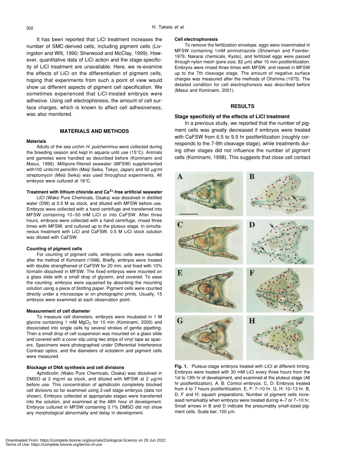It has been reported that LiCl treatment increases the number of SMC-derived cells, including pigment cells (Livingston and Wilt, 1990; Sherwood and McClay, 1999). However, quantitative data of LiCl action and the stage-specificity of LiCl treatment are unavailable. Here, we re-examine the effects of LiCl on the differentiation of pigment cells, hoping that experiments from such a point of view would show us different aspects of pigment cell specification. We sometimes experienced that LiCl-treated embryos were adhesive. Using cell electrophoresis, the amount of cell surface charges, which is known to affect cell adhesiveness, was also monitored.

# **MATERIALS AND METHODS**

#### **Materials**

Adults of the sea urchin *H. pulcherrimus* were collected during the breeding season and kept in aquaria until use (15°C). Animals and gametes were handled as described before (Kominami and Masui, 1996). Millipore-filtered seawater (MFSW) supplemented with100 units/ml penicillin (Meiji Seika, Tokyo, Japan) and 50 µg/ml streptomycin (Meiji Seika) was used throughout experiments. All embryos were cultured at 18°C.

#### **Treatment with lithium chloride and Ca2+-free artificial seawater**

LiCl (Wako Pure Chemicals, Osaka) was dissolved in distilled water (DW) at 0.5 M as stock, and diluted with MFSW before use. Embryos were collected with a hand centrifuge and transferred into MFSW containing 10–50 mM LiCl or into CaFSW. After three hours, embryos were collected with a hand centrifuge, rinsed three times with MFSW, and cultured up to the pluteus stage. In simultaneous treatment with LiCl and CaFSW, 0.5 M LiCl stock solution was diluted with CaFSW.

#### **Counting of pigment cells**

For counting of pigment cells, embryonic cells were rounded after the method of Kominami (1998). Briefly, embryos were treated with double strengthened of CaFSW for 20 min, and fixed with 10% formalin dissolved in MFSW. The fixed embryos were mounted on a glass slide with a small drop of glycerin, and covered. To ease the counting, embryos were squashed by absorbing the mounting solution using a piece of blotting paper. Pigment cells were counted directly under a microscope or on photographic prints. Usually, 15 embryos were examined at each observation point.

#### **Measurement of cell diameter**

To measure cell diameters, embryos were incubated in 1 M glycine containing 1 mM MgCl<sub>2</sub> for 10 min (Kominami, 2000) and dissociated into single cells by several strokes of gentle pipetting. Then a small drop of cell suspension was mounted on a glass slide and covered with a cover slip using two strips of vinyl tape as spacers. Specimens were photographed under Differential Interference Contrast optics, and the diameters of ectoderm and pigment cells were measured.

#### **Blockage of DNA synthesis and cell divisions**

Aphidicolin (Wako Pure Chemicals, Osaka) was dissolved in DMSO at 2 mg/ml as stock, and diluted with MFSW at 2  $\mu$ g/ml before use. This concentration of aphidicolin completely blocked cell divisions so far examined using 2-cell stage embryos (data not shown). Embryos collected at appropriate stages were transferred into the solution, and examined at the 48th hour of development. Embryos cultured in MFSW containing 0.1% DMSO did not show any morphological abnormality and delay in development.

#### **Cell electrophoresis**

To remove the fertilization envelope, eggs were inseminated in MFSW containing 1mM aminotriazole (Showman and Foerder, 1979, Nakarai chemicals, Kyoto), and fertilized eggs were passed through nylon mesh (pore size, 82 µm) after 10 min postfertilization. Embryos were rinsed three times with MFSW, and reared in MFSW up to the 7th cleavage stage. The amount of negative surface charges was measured after the methods of Ohshima (1975). The detailed condition for cell electrophoresis was described before (Masui and Kominami, 2001).

#### **RESULTS**

#### **Stage specificity of the effects of LiCl treatment**

In a previous study, we reported that the number of pigment cells was greatly decreased if embryos were treated with CaFSW from 6.5 to 9.5 hr postfertilization (roughly corresponds to the 7-9th cleavage stage), while treatments during other stages did not influence the number of pigment cells (Kominami, 1998). This suggests that close cell contact



**Fig. 1.** Pluteus-stage embryos treated with LiCl at different timing. Embryos were treated with 30 mM LiCl every three hours from the 1st to 13th hr of development, and examined at the pluteus stage (48 hr postfertilization). A, B: Control embryos. C, D: Embryos treated from 4 to 7 hours postfertilization. E, F: 7–10 hr. G, H: 10–13 hr. B, D, F and H: squash preparations. Number of pigment cells increased remarkably when embryos were treated during 4–7 or 7–10 hr. Small arrows in B and D indicate the presumably small-sized pigment cells. Scale bar, 100 µm.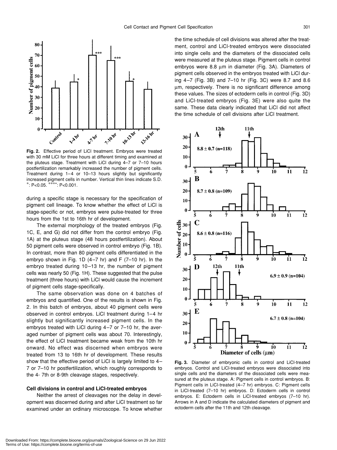

**Fig. 2.** Effective period of LiCl treatment. Embryos were treated with 30 mM LiCl for three hours at different timing and examined at the pluteus stage. Treatment with LiCl during 4–7 or 7–10 hours postfertilization remarkably increased the number of pigment cells. Treatment during 1–4 or 10–13 hours slightly but significantly increased pigment cells in number. Vertical thin lines indicate S.D. \*: P<0.05. \*\*\*\*: P<0.001.

during a specific stage is necessary for the specification of pigment cell lineage. To know whether the effect of LiCl is stage-specific or not, embryos were pulse-treated for three hours from the 1st to 16th hr of development.

The external morphology of the treated embryos (Fig. 1C, E, and G) did not differ from the control embryo (Fig. 1A) at the pluteus stage (48 hours postfertilization). About 50 pigment cells were observed in control embryo (Fig. 1B). In contrast, more than 80 pigment cells differentiated in the embryo shown in Fig. 1D  $(4-7 \text{ hr})$  and F  $(7-10 \text{ hr})$ . In the embryo treated during 10–13 hr, the number of pigment cells was nearly 50 (Fig. 1H). These suggested that the pulse treatment (three hours) with LiCl would cause the increment of pigment cells stage-specifically.

The same observation was done on 4 batches of embryos and quantified. One of the results is shown in Fig. 2. In this batch of embryos, about 40 pigment cells were observed in control embryos. LiCl treatment during 1–4 hr slightly but significantly increased pigment cells. In the embryos treated with LiCl during 4–7 or 7–10 hr, the averaged number of pigment cells was about 70. Interestingly, the effect of LiCl treatment became weak from the 10th hr onward. No effect was discerned when embryos were treated from 13 to 16th hr of development. These results show that the effective period of LiCl is largely limited to 4– 7 or 7–10 hr postfertilization, which roughly corresponds to the 4- 7th or 8-9th cleavage stages, respectively.

### **Cell divisions in control and LiCl-treated embryos**

Neither the arrest of cleavages nor the delay in development was discerned during and after LiCl treatment so far examined under an ordinary microscope. To know whether the time schedule of cell divisions was altered after the treatment, control and LiCl-treated embryos were dissociated into single cells and the diameters of the dissociated cells were measured at the pluteus stage. Pigment cells in control embryos were 8.8 µm in diameter (Fig. 3A). Diameters of pigment cells observed in the embryos treated with LiCl during 4–7 (Fig. 3B) and 7–10 hr (Fig. 3C) were 8.7 and 8.6 µm, respectively. There is no significant difference among these values. The sizes of ectoderm cells in control (Fig. 3D) and LiCl-treated embryos (Fig. 3E) were also quite the same. These data clearly indicated that LiCl did not affect the time schedule of cell divisions after LiCl treatment.



**Fig. 3.** Diameter of embryonic cells in control and LiCl-treated embryos. Control and LiCl-treated embryos were dissociated into single cells and the diameters of the dissociated cells were measured at the pluteus stage. A: Pigment cells in control wmbryos. B: Pigment cells in LiCl-treated (4–7 hr) embryos. C: Pigment cells in LiCl-treated (7–10 hr) embryos. D: Ectoderm cells in control embryos. E: Ectoderm cells in LiCl-treated embryos (7–10 hr). Arrows in A and D indicate the calculated diameters of pigment and ectoderm cells after the 11th and 12th cleavage.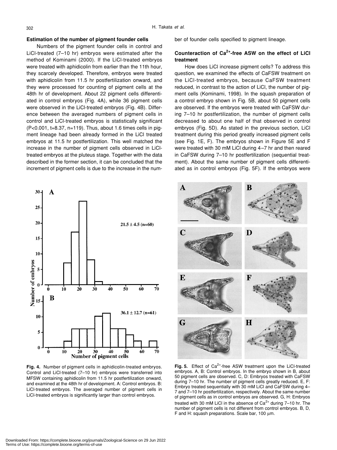### **Estimation of the number of pigment founder cells**

Numbers of the pigment founder cells in control and LiCl-treated (7–10 hr) embryos were estimated after the method of Kominami (2000). If the LiCl-treated embryos were treated with aphidicolin from earlier than the 11th hour, they scarcely developed. Therefore, embryos were treated with aphidicolin from 11.5 hr postfertilization onward, and they were processed for counting of pigment cells at the 48th hr of development. About 22 pigment cells differentiated in control embryos (Fig. 4A), while 36 pigment cells were observed in the LiCl-treated embryos (Fig. 4B). Difference between the averaged numbers of pigment cells in control and LiCl-treated embryos is statistically significant (P<0.001, t=8.37, n=119). Thus, about 1.6 times cells in pigment lineage had been already formed in the LiCl treated embryos at 11.5 hr postfertilization. This well matched the increase in the number of pigment cells observed in LiCltreated embryos at the pluteus stage. Together with the data described in the former section, it can be concluded that the increment of pigment cells is due to the increase in the num-



**Fig. 4.** Number of pigment cells in aphidicolin-treated embryos. Control and LiCl-treated (7–10 hr) embryos were transferred into MFSW containing aphidicolin from 11.5 hr postfertilization onward, and examined at the 48th hr of development. A: Control embryos. B: LiCl-treated embryos. The averaged number of pigment cells in LiCl-treated embryos is significantly larger than control embryos.

ber of founder cells specified to pigment lineage.

# **Counteraction of Ca2+-free ASW on the effect of LiCl treatment**

How does LiCl increase pigment cells? To address this question, we examined the effects of CaFSW treatment on the LiCl-treated embryos, because CaFSW treatment reduced, in contrast to the action of LiCl, the number of pigment cells (Kominami, 1998). In the squash preparation of a control embryo shown in Fig. 5B, about 50 pigment cells are observed. If the embryos were treated with CaFSW during 7–10 hr postfertilization, the number of pigment cells decreased to about one half of that observed in control embryos (Fig. 5D). As stated in the previous section, LiCl treatment during this period greatly increased pigment cells (see Fig. 1E, F). The embryos shown in Figure 5E and F were treated with 30 mM LiCl during 4–7 hr and then reared in CaFSW during 7–10 hr postfertilization (sequential treatment). About the same number of pigment cells differentiated as in control embryos (Fig. 5F). If the embryos were



Fig. 5. Effect of Ca<sup>2+</sup>-free ASW treatment upon the LiCl-treated embryos. A, B: Control embryos. In the embryo shown in B, about 50 pigment cells are observed. C, D: Embryos treated with CaFSW during 7–10 hr. The number of pigment cells greatly reduced. E, F: Embryo treated sequentially with 30 mM LiCl and CaFSW during 4– 7 and 7–10 hr postfertilization, respectively. About the same number of pigment cells as in control embryos are observed. G, H: Embryos treated with 30 mM LiCl in the absence of  $Ca<sup>2+</sup>$  during 7–10 hr. The number of pigment cells is not different from control embryos. B, D, F and H: squash preparations. Scale bar, 100 µm.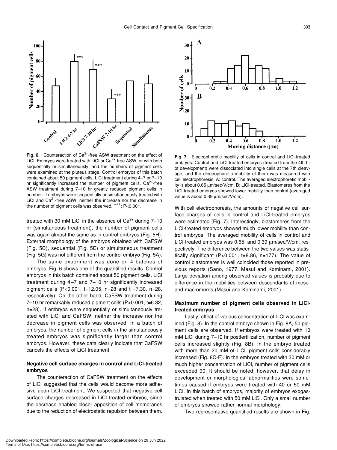

Fig. 6. Counteraction of Ca<sup>2+</sup>-free ASW treatment on the effect of LiCl. Embryos were treated with LiCl or  $Ca<sup>2+</sup>$ -free ASW, or with both sequentially or simultaneously, and the numbers of pigment cells were examined at the pluteus stage. Control embryos of this batch contained about 50 pigment cells. LiCl treatment during 4–7 or 7–10 hr significantly increased the number of pigment cells.  $Ca<sup>2+</sup>$ -free ASW treatment during 7–10 hr greatly reduced pigment cells in number. If embryos were sequentially or simultaneously treated with LiCl and  $Ca<sup>2+</sup>$ -free ASW, neither the increase nor the decrease in the number of pigment cells was observed. \*\*\*: P<0.001.

treated with 30 mM LiCl in the absence of  $Ca<sup>2+</sup>$  during 7-10 hr (simultaneous treatment), the number of pigment cells was again almost the same as in control embryos (Fig. 5H). External morphology of the embryos obtained with CaFSW (Fig. 5C), sequential (Fig. 5E) or simultaneous treatment (Fig. 5G) was not different from the control embryo (Fig. 5A).

The same experiment was done on 4 batches of embryos. Fig. 6 shows one of the quantified results. Control embryos in this batch contained about 50 pigment cells. LiCl treatment during 4–7 and 7–10 hr significantly increased pigment cells (P<0.001, t=12.05, n=28 and t =7.30, n=28, respectively). On the other hand, CaFSW treatment during 7–10 hr remarkably reduced pigment cells (P<0.001, t=6.32, n=28). If embryos were sequentially or simultaneously treated with LiCl and CaFSW, neither the increase nor the decrease in pigment cells was observed. In a batch of embryos, the number of pigment cells in the simultaneously treated embryos was significantly larger than control embryos. However, these data clearly indicate that CaFSW cancels the effects of LiCl treatment.

# **Negative cell surface charges in control and LiCl-treated embryos**

The counteraction of CaFSW treatment on the effects of LiCl suggested that the cells would become more adhesive upon LiCl treatment. We suspected that negative cell surface charges decreased in LiCl treated embryos, since the decrease enabled closer apposition of cell membranes due to the reduction of electrostatic repulsion between them.



**Fig. 7.** Electrophoretic mobility of cells in control and LiCl-treated embryos. Control and LiCl-treated embryos (treated from the 4th hr of development) were dissociated into single cells at the 7th cleavage, and the electrophoretic mobility of them was measured with cell electrophoresis. A: control. The averaged electrophoretic mobility is about 0.65 µm/sec/V/cm. B: LiCl-treated. Blastomeres from the LiCl-treated embryos showed lower mobility than control (averaged value is about 0.39  $\mu$ m/sec/V/cm).

With cell electrophoresis, the amounts of negative cell surface charges of cells in control and LiCl-treated embryos were estimated (Fig. 7). Interestingly, blastomeres from the LiCl-treated embryos showed much lower mobility than control embryos. The averaged mobility of cells in control and LiCl-treated embryos was 0.65, and 0.39  $\mu$ m/sec/V/cm, respectively. The difference between the two values was statistically significant (P<0.001, t=8.86, n=177). The value of control blastomeres is well coincided those reported in previous reports (Sano, 1977, Masui and Kominami, 2001). Large deviation among observed values is probably due to difference in the mobilities between descendants of mesoand macromeres (Masui and Kominami, 2001).

# **Maximum number of pigment cells observed in LiCltreated embryos**

Lastly, effect of various concentration of LiCl was examined (Fig. 8). In the control embryo shown in Fig. 8A, 50 pigment cells are observed. If embryos were treated with 10 mM LiCl during 7–10 hr postfertilization, number of pigment cells increased slightly (Fig. 8B). In the embryo treated with more than 20 mM of LiCl, pigment cells considerably increased (Fig. 8C-F). In the embryos treated with 30 mM or much higher concentration of LiCl, number of pigment cells exceeded 90. It should be noted, however, that delay in development or morphological abnormalities were sometimes caused if embryos were treated with 40 or 50 mM LiCl. In this batch of embryos, majority of embryos exogastrulated when treated with 50 mM LiCl. Only a small number of embryos showed rather normal morphology.

Two representative quantified results are shown in Fig.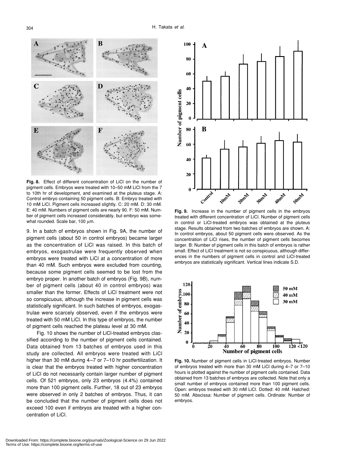

**Fig. 8.** Effect of different concentration of LiCl on the number of pigment cells. Embryos were treated with 10–50 mM LiCl from the 7 to 10th hr of development, and examined at the pluteus stage. A: Control embryo containing 50 pigment cells. B: Embryo treated with 10 mM LiCl. Pigment cells increased slightly. C: 20 mM. D: 30 mM. E: 40 mM. Numbers of pigment cells are nearly 90. F: 50 mM. Number of pigment cells increased considerably, but embryo was somewhat rounded. Scale bar, 100  $\mu$ m.

9. In a batch of embryos shown in Fig. 9A, the number of pigment cells (about 50 in control embryos) became larger as the concentration of LiCl was raised. In this batch of embryos, exogastrulae were frequently observed when embryos were treated with LiCl at a concentration of more than 40 mM. Such embryos were excluded from counting, because some pigment cells seemed to be lost from the embryo proper. In another batch of embryos (Fig. 9B), number of pigment cells (about 40 in control embryos) was smaller than the former. Effects of LiCl treatment were not so conspicuous, although the increase in pigment cells was statistically significant. In such batches of embryos, exogastrulae were scarcely observed, even if the embryos were treated with 50 mM LiCl. In this type of embryos, the number of pigment cells reached the plateau level at 30 mM.

Fig. 10 shows the number of LiCl-treated embryos classified according to the number of pigment cells contained. Data obtained from 13 batches of embryos used in this study are collected. All embryos were treated with LiCl higher than 30 mM during 4-7 or 7-10 hr postfertilization. It is clear that the embryos treated with higher concentration of LiCl do not necessarily contain larger number of pigment cells. Of 521 embryos, only 23 embryos (4.4%) contained more than 100 pigment cells. Further, 18 out of 23 embryos were observed in only 2 batches of embryos. Thus, it can be concluded that the number of pigment cells does not exceed 100 even if embryos are treated with a higher concentration of LiCl.



**Fig. 9.** Increase in the number of pigment cells in the embryos treated with different concentration of LiCl. Number of pigment cells in control or LiCl-treated embryos was obtained at the pluteus stage. Results obtained from two batches of embryos are shown. A: In control embryos, about 50 pigment cells were observed. As the concentration of LiCl rises, the number of pigment cells becomes larger. B: Number of pigment cells in this batch of embryos is rather small. Effect of LiCl treatment is not so conspicuous, although differences in the numbers of pigment cells in control and LiCl-treated embryos are statistically significant. Vertical lines indicate S.D.



**Fig. 10.** Number of pigment cells in LiCl-treated embryos. Number of embryos treated with more than 30 mM LiCl during 4–7 or 7–10 hours is plotted against the number of pigment cells contained. Data obtained from 13 batches of embryos are collected. Note that only a small number of embryos contained more than 100 pigment cells. Open: embryos treated with 30 mM LiCl. Dotted: 40 mM. Hatched: 50 mM. Abscissa: Number of pigment cells. Ordinate: Number of embryos.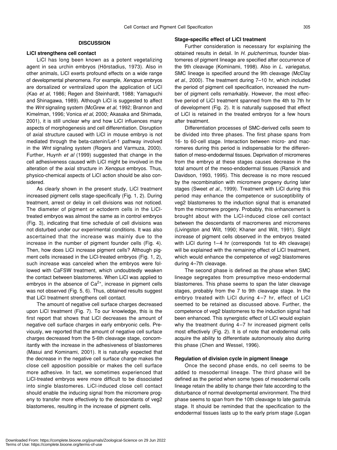# **DISCUSSION**

# **LiCl strengthens cell contact**

LiCl has long been known as a potent vegetalizing agent in sea urchin embryos (Hörstadius, 1973). Also in other animals, LiCl exerts profound effects on a wide range of developmental phenomena. For example, *Xenopus* embryos are dorsalized or ventralized upon the application of LiCl (Kao *et al*, 1986; Regen and Steinhardt, 1988; Yamaguchi and Shinagawa, 1989). Although LiCl is suggested to affect the *Wnt* signaling system (McGrew *et al*, 1992; Brannon and Kimelman, 1996; Vonica *et al*, 2000; Akasaka and Shimada, 2001), it is still unclear why and how LiCl influences many aspects of morphogenesis and cell differentiation. Disruption of axial structure caused with LiCl in mouse embryo is not mediated through the beta-catenin/Lef-1 pathway involved in the *Wnt* signaling system (Rogers and Varmuza, 2000). Further, Huynh *et al* (1999) suggested that change in the cell adhesiveness caused with LiCl might be involved in the alteration of the axial structure in *Xenopus* embryos. Thus, physico-chemical aspects of LiCl action should be also considered.

As clearly shown in the present study, LiCl treatment increased pigment cells stage-specifically (Fig. 1, 2). During treatment, arrest or delay in cell divisions was not noticed. The diameter of pigment or ectoderm cells in the LiCltreated embryos was almost the same as in control embryos (Fig. 3), indicating that time schedule of cell divisions was not disturbed under our experimental conditions. It was also ascertained that the increase was mainly due to the increase in the number of pigment founder cells (Fig. 4). Then, how does LiCl increase pigment cells? Although pigment cells increased in the LiCl-treated embryos (Fig. 1, 2), such increase was canceled when the embryos were followed with CaFSW treatment, which undoubtedly weaken the contact between blastomeres. When LiCl was applied to embryos in the absence of  $Ca^{2+}$ , increase in pigment cells was not observed (Fig. 5, 6). Thus, obtained results suggest that LiCl treatment strengthens cell contact.

The amount of negative cell surface charges decreased upon LiCl treatment (Fig. 7). To our knowledge, this is the first report that shows that LiCl decreases the amount of negative cell surface charges in early embryonic cells. Previously, we reported that the amount of negative cell surface charges decreased from the 5-6th cleavage stage, concomitantly with the increase in the adhesiveness of blastomeres (Masui and Kominami, 2001). It is naturally expected that the decrease in the negative cell surface charge makes the close cell apposition possible or makes the cell surface more adhesive. In fact, we sometimes experienced that LiCl-treated embryos were more difficult to be dissociated into single blastomeres. LiCl-induced close cell contact should enable the inducing signal from the micromere progeny to transfer more effectively to the descendants of veg2 blastomeres, resulting in the increase of pigment cells.

#### **Stage-specific effect of LiCl treatment**

Further consideration is necessary for explaining the obtained results in detail. In *H. pulcherrimus*, founder blastomeres of pigment lineage are specified after occurrence of the 9th cleavage (Kominami, 1998). Also in *L. variegatus*, SMC lineage is specified around the 9th cleavage (McClay *et al*., 2000). The treatment during 7–10 hr, which included the period of pigment cell specification, increased the number of pigment cells remarkably. However, the most effective period of LiCl treatment spanned from the 4th to 7th hr of development (Fig. 2). It is naturally supposed that effect of LiCl is retained in the treated embryos for a few hours after treatment.

Differentiation processes of SMC-derived cells seem to be divided into three phases. The first phase spans from 16- to 60-cell stage. Interaction between micro- and macromeres during this period is indispensable for the differentiation of meso-endodermal tissues. Deprivation of micromeres from the embryo at these stages causes decrease in the total amount of the meso-endodermal tissues (Ransick and Davidson, 1993, 1995). This decrease is no more rescued by the recombination with micromere progeny during later stages (Sweet *et al*., 1999). Treatment with LiCl during this period may enhance the competence or susceptibility of veg2 blastomeres to the induction signal that is emanated from the micromere progeny. Probably, this enhancement is brought about with the LiCl-induced close cell contact between the descendants of macromeres and micromeres (Livingston and Wilt, 1990; Khaner and Wilt, 1991). Slight increase of pigment cells observed in the embryos treated with LiCl during 1–4 hr (corresponds 1st to 4th cleavage) will be explained with the remaining effect of LiCl treatment, which would enhance the competence of veg2 blastomeres during 4–7th cleavage.

The second phase is defined as the phase when SMC lineage segregates from presumptive meso-endodermal blastomeres. This phase seems to span the later cleavage stages, probably from the 7 to 9th cleavage stage. In the embryo treated with LiCl during 4–7 hr, effect of LiCl seemed to be retained as discussed above. Further, the competence of veg2 blastomeres to the induction signal had been enhanced. This synergistic effect of LiCl would explain why the treatment during 4–7 hr increased pigment cells most effectively (Fig. 2). It is of note that endodermal cells acquire the ability to differentiate autonomously also during this phase (Chen and Wessel, 1996).

#### **Regulation of division cycle in pigment lineage**

Once the second phase ends, no cell seems to be added to mesodermal lineage. The third phase will be defined as the period when some types of mesodermal cells lineage retain the ability to change their fate according to the disturbance of normal developmental environment. The third phase seems to span from the 10th cleavage to late gastrula stage. It should be reminded that the specification to the endodermal tissues lasts up to the early prism stage (Logan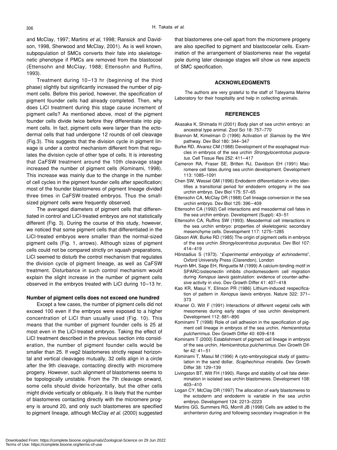and McClay, 1997; Martins *et al*, 1998; Ransick and Davidson, 1998, Sherwood and McClay, 2001). As is well known, subpopulation of SMCs converts their fate into skeletogenetic phenotype if PMCs are removed from the blastocoel (Ettensohn and McClay, 1988; Ettensohn and Ruffins, 1993).

Treatment during 10–13 hr (beginning of the third phase) slightly but significantly increased the number of pigment cells. Before this period, however, the specification of pigment founder cells had already completed. Then, why does LiCl treatment during this stage cause increment of pigment cells? As mentioned above, most of the pigment founder cells divide twice before they differentiate into pigment cells. In fact, pigment cells were larger than the ectodermal cells that had undergone 12 rounds of cell cleavage (Fig.3). This suggests that the division cycle in pigment lineage is under a control mechanism different from that regulates the division cycle of other type of cells. It is interesting that CaFSW treatment around the 10th cleavage stage increased the number of pigment cells (Kominami, 1998). This increase was mainly due to the change in the number of cell cycles in the pigment founder cells after specification; most of the founder blastomeres of pigment lineage divided three times in CaFSW-treated embryos. Thus the smallsized pigment cells were frequently observed.

The averaged diameters of pigment cells that differentiated in control and LiCl-treated embryos are not statistically different (Fig. 3). During the course of this study, however, we noticed that some pigment cells that differentiated in the LiCl-treated embryos were smaller than the normal-sized pigment cells (Fig. 1, arrows). Although sizes of pigment cells could not be compared strictly on squash preparations, LiCl seemed to disturb the control mechanism that regulates the division cycle of pigment lineage, as well as CaFSW treatment. Disturbance in such control mechanism would explain the slight increase in the number of pigment cells observed in the embryos treated with LiCl during 10–13 hr.

#### **Number of pigment cells does not exceed one hundred**

Except a few cases, the number of pigment cells did not exceed 100 even if the embryos were exposed to a higher concentration of LiCl than usually used (Fig. 10). This means that the number of pigment founder cells is 25 at most even in the LiCl-treated embryos. Taking the effect of LiCl treatment described in the previous section into consideration, the number of pigment founder cells would be smaller than 25. If veg2 blastomeres strictly repeat horizontal and vertical cleavages mutually, 32 cells align in a circle after the 9th cleavage, contacting directly with micromere progeny. However, such alignment of blastomeres seems to be topologically unstable. From the 7th cleavage onward, some cells should divide horizontally, but the other cells might divide vertically or obliquely. It is likely that the number of blastomeres contacting directly with the micromere progeny is around 20, and only such blastomeres are specified to pigment lineage, although McClay *et al*. (2000) suggested

that blastomeres one-cell apart from the micromere progeny are also specified to pigment and blastocoelar cells. Examination of the arrangement of blastomeres near the vegetal pole during later cleavage stages will show us new aspects of SMC specification.

# **ACKNOWLEDGMENTS**

The authors are very grateful to the staff of Tateyama Marine Laboratory for their hospitality and help in collecting animals.

# **REFERENCES**

- Akasaka K, Shimada H (2001) Body plan of sea urchin embryo: an ancestral type animal. Zool Sci 18: 757–770
- Brannon M, Kimelman D (1996) Activation of *Siamois* by the Wnt pathway. Dev Biol 180: 344–347
- Burke RD, Alvarez CM (1988) Development of the esophageal muscles in embryos of the sea urchin *Strongylocentrotus purpuratus*. Cell Tissue Res 252: 411–417
- Cameron RA, Fraser SE, Britten RJ, Davidson EH (1991) Macromere cell fates during sea urchin development. Development 113: 1085–1091
- Chen SW, Wessel GM (1996) Endoderm differentiation in vitro identifies a transitional period for endoderm ontogeny in the sea urchin embryo. Dev Biol 175: 57–65
- Ettensohn CA, McClay DR (1988) Cell lineage conversion in the sea urchin embryo. Dev Biol 125: 396–409
- Ettensohn CA (1992) Cell interactions and mesodermal cell fates in the sea urchin embryo. Development (Suppl): 43–51
- Ettensohn CA, Ruffins SW (1993). Mesodermal cell interactions in the sea urchin embryo: properties of skeletogenic secondary mesenchyme cells. Development 117: 1275–1285
- Gibson AW, Burke RD (1985) The origin of pigment cells in embryos of the sea urchin *Strongylocentrotus purpuratus*. Dev Biol 107: 414–419
- Hörstadius S (1973). "*Experimental embryology of echinoderms*", Oxford University Press (Clarendon), London
- Huynh MH, Sage EH, Ringuette M (1999) A calcium-binding motif in SPARC/osteonectin inhibits chordomesoderm cell migration during *Xenopus laevis* gastrulation: evidence of counter-adhesive activity in vivo. Dev Growth Differ 41: 407–418
- Kao KR, Masui Y, Elinson PR (1986) Lithium-induced respecification of pattern in *Xenopus laevis* embryos. Nature 322: 371– 373
- Khaner O, Wilt F (1991) Interactions of different vegetal cells with mesomeres during early stages of sea urchin development. Development 112: 881–890
- Kominami T (1998) Role of cell adhesion in the specification of pigment cell lineage in embryos of the sea urchin, *Hemicentrotus pulcherrimus*. Dev Growth Differ 40: 609–618
- Kominami T (2000) Establishment of pigment cell lineage in embryos of the sea urchin, *Hemicentrotus pulcherrimus*. Dev Growth Differ 42: 41–51
- Kominami T, Masui M (1996) A cyto-embryological study of gastrulation in the sand dollar, *Scaphechinus mirabilis*. Dev Growth Differ 38: 129–139
- Livingston BT, Wilt FH (1990). Range and stability of cell fate determination in isolated sea urchin blastomeres. Development 108: 403–410
- Logan CY, McClay DR (1997) The allocation of early blastomeres to the ectoderm and endoderm is variable in the sea urchin embryo. Development 124: 2213–2223
- Martins GG, Summers RG, Morrill JB (1998) Cells are added to the archenteron during and following secondary invagination in the